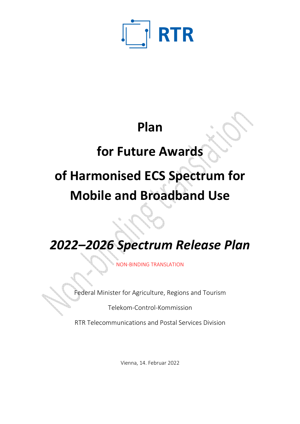

# **Plan**

# **for Future Awards**

# **of Harmonised ECS Spectrum for Mobile and Broadband Use**

*2022–2026 Spectrum Release Plan*

NON-BINDING TRANSLATION

Federal Minister for Agriculture, Regions and Tourism

Telekom-Control-Kommission

RTR Telecommunications and Postal Services Division

Vienna, 14. Februar 2022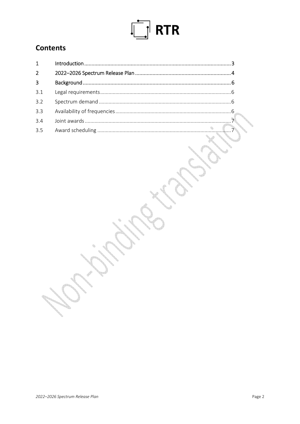# $\boxed{\frac{1}{2}}$  RTR

# Contents

| $\overline{2}$ |  |
|----------------|--|
| $\overline{3}$ |  |
| 3.1            |  |
| 3.2            |  |
| 3.3            |  |
| 3.4            |  |
| 35             |  |
|                |  |

**Contract Contract Contract Contract Contract Contract Contract Contract Contract Contract Contract Contract Contract Contract Contract Contract Contract Contract Contract Contract Contract Contract Contract Contract Contr** 

**Road**  $\rightarrow$ 

à.

▚

b,

**SANTONIA** ð.

**Corporation** ð. **Road** 

 $\frac{1}{2}$ 

 $\begin{matrix} \phi^{\mu} & \psi^{\mu} & \psi^{\mu} & \psi^{\mu} & \psi^{\mu} & \psi^{\mu} & \psi^{\mu} & \psi^{\mu} & \psi^{\mu} & \psi^{\mu} & \psi^{\mu} & \psi^{\mu} & \psi^{\mu} & \psi^{\mu} & \psi^{\mu} & \psi^{\mu} & \psi^{\mu} & \psi^{\mu} & \psi^{\mu} & \psi^{\mu} & \psi^{\mu} & \psi^{\mu} & \psi^{\mu} & \psi^{\mu} & \psi^{\mu} & \psi^{\mu} & \psi^{\mu} & \psi^{\mu} & \psi^{\mu} & \psi^{\mu} & \psi^{\mu$ 

E. Corp.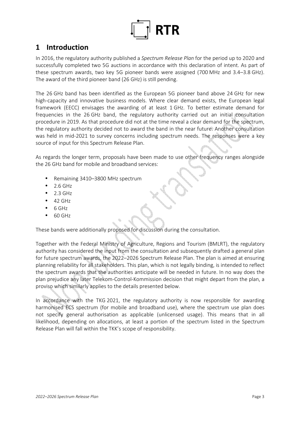

## **1 Introduction**

In 2016, the regulatory authority published a *Spectrum Release Plan* for the period up to 2020 and successfully completed two 5G auctions in accordance with this declaration of intent. As part of these spectrum awards, two key 5G pioneer bands were assigned (700 MHz and 3.4–3.8 GHz). The award of the third pioneer band (26 GHz) is still pending.

The 26 GHz band has been identified as the European 5G pioneer band above 24 GHz for new high-capacity and innovative business models. Where clear demand exists, the European legal framework (EECC) envisages the awarding of at least 1 GHz. To better estimate demand for frequencies in the 26 GHz band, the regulatory authority carried out an initial consultation procedure in 2019. As that procedure did not at the time reveal a clear demand for the spectrum, the regulatory authority decided not to award the band in the near future. Another consultation was held in mid-2021 to survey concerns including spectrum needs. The responses were a key source of input for this Spectrum Release Plan.

As regards the longer term, proposals have been made to use other frequency ranges alongside the 26 GHz band for mobile and broadband services:

- Remaining 3410–3800 MHz spectrum
- $\bullet$  2.6 GHz
- 2.3 GHz
- 42 GHz
- $6$  GHz
- 60 GHz

These bands were additionally proposed for discussion during the consultation.

Together with the Federal Ministry of Agriculture, Regions and Tourism (BMLRT), the regulatory authority has considered the input from the consultation and subsequently drafted a general plan for future spectrum awards, the 2022–2026 Spectrum Release Plan. The plan is aimed at ensuring planning reliability for all stakeholders. This plan, which is not legally binding, is intended to reflect the spectrum awards that the authorities anticipate will be needed in future. In no way does the plan prejudice any later Telekom-Control-Kommission decision that might depart from the plan, a proviso which similarly applies to the details presented below.

In accordance with the TKG 2021, the regulatory authority is now responsible for awarding harmonised ECS spectrum (for mobile and broadband use), where the spectrum use plan does not specify general authorisation as applicable (unlicensed usage). This means that in all likelihood, depending on allocations, at least a portion of the spectrum listed in the Spectrum Release Plan will fall within the TKK's scope of responsibility.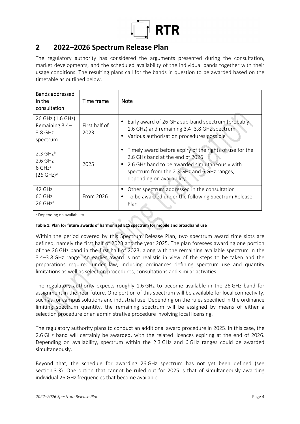

## **2 2022–2026 Spectrum Release Plan**

The regulatory authority has considered the arguments presented during the consultation, market developments, and the scheduled availability of the individual bands together with their usage conditions. The resulting plans call for the bands in question to be awarded based on the timetable as outlined below.

| <b>Bands addressed</b><br>in the<br>consultation                                                   | Time frame            | <b>Note</b>                                                                                                                                                                                                              |
|----------------------------------------------------------------------------------------------------|-----------------------|--------------------------------------------------------------------------------------------------------------------------------------------------------------------------------------------------------------------------|
| 26 GHz (1.6 GHz)<br>Remaining 3.4-<br>3.8 GHz<br>spectrum                                          | First half of<br>2023 | Early award of 26 GHz sub-band spectrum (probably<br>1.6 GHz) and remaining 3.4-3.8 GHz spectrum<br>Various authorisation procedures possible                                                                            |
| $2.3 \text{ GHz}^{\text{a}}$<br>$2.6$ GHz<br>$6$ GHz <sup>a</sup><br>$(26 \text{ GHz})^{\text{a}}$ | 2025                  | Timely award before expiry of the rights of use for the<br>2.6 GHz band at the end of 2026<br>2.6 GHz band to be awarded simultaneously with<br>spectrum from the 2.3 GHz and 6 GHz ranges,<br>depending on availability |
| 42 GHz<br>60 GHz<br>26 GHz <sup>a</sup>                                                            | From 2026             | Other spectrum addressed in the consultation<br>To be awarded under the following Spectrum Release<br>Plan                                                                                                               |

a Depending on availability

#### **Table 1: Plan for future awards of harmonised ECS spectrum for mobile and broadband use**

Within the period covered by this Spectrum Release Plan, two spectrum award time slots are defined, namely the first half of 2023 and the year 2025. The plan foresees awarding one portion of the 26 GHz band in the first half of 2023, along with the remaining available spectrum in the 3.4–3.8 GHz range. An earlier award is not realistic in view of the steps to be taken and the preparations required under law, including ordinances defining spectrum use and quantity limitations as well as selection procedures, consultations and similar activities.

The regulatory authority expects roughly 1.6 GHz to become available in the 26 GHz band for assignment in the near future. One portion of this spectrum will be available for local connectivity, such as for campus solutions and industrial use. Depending on the rules specified in the ordinance limiting spectrum quantity, the remaining spectrum will be assigned by means of either a selection procedure or an administrative procedure involving local licensing.

The regulatory authority plans to conduct an additional award procedure in 2025. In this case, the 2.6 GHz band will certainly be awarded, with the related licences expiring at the end of 2026. Depending on availability, spectrum within the 2.3 GHz and 6 GHz ranges could be awarded simultaneously.

Beyond that, the schedule for awarding 26 GHz spectrum has not yet been defined (see section 3.3). One option that cannot be ruled out for 2025 is that of simultaneously awarding individual 26 GHz frequencies that become available.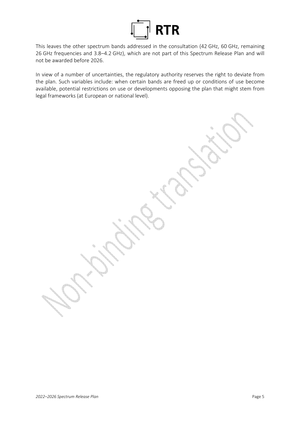

This leaves the other spectrum bands addressed in the consultation (42 GHz, 60 GHz, remaining 26 GHz frequencies and 3.8–4.2 GHz), which are not part of this Spectrum Release Plan and will not be awarded before 2026.

In view of a number of uncertainties, the regulatory authority reserves the right to deviate from the plan. Such variables include: when certain bands are freed up or conditions of use become available, potential restrictions on use or developments opposing the plan that might stem from legal frameworks (at European or national level).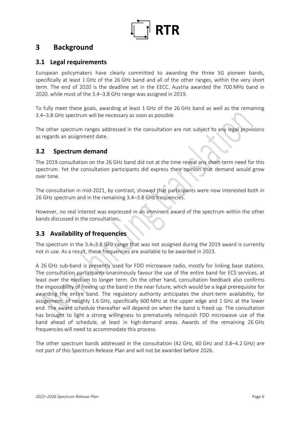

## **3 Background**

#### **3.1 Legal requirements**

European policymakers have clearly committed to awarding the three 5G pioneer bands, specifically at least 1 GHz of the 26 GHz band and all of the other ranges, within the very short term. The end of 2020 is the deadline set in the EECC. Austria awarded the 700 MHz band in 2020, while most of the 3.4–3.8 GHz range was assigned in 2019.

To fully meet these goals, awarding at least 1 GHz of the 26 GHz band as well as the remaining 3.4–3.8 GHz spectrum will be necessary as soon as possible.

The other spectrum ranges addressed in the consultation are not subject to any legal provisions as regards an assignment date.

### **3.2 Spectrum demand**

The 2019 consultation on the 26 GHz band did not at the time reveal any short-term need for this spectrum. Yet the consultation participants did express their opinion that demand would grow over time.

The consultation in mid-2021, by contrast, showed that participants were now interested both in 26 GHz spectrum and in the remaining 3.4–3.8 GHz frequencies.

However, no real interest was expressed in an imminent award of the spectrum within the other bands discussed in the consultation.

### **3.3 Availability of frequencies**

The spectrum in the 3.4–3.8 GHz range that was not assigned during the 2019 award is currently not in use. As a result, these frequencies are available to be awarded in 2023.

A 26 GHz sub-band is presently used for FDD microwave radio, mostly for linking base stations. The consultation participants unanimously favour the use of the entire band for ECS services, at least over the medium to longer term. On the other hand, consultation feedback also confirms the impossibility of freeing up the band in the near future, which would be a legal prerequisite for awarding the entire band. The regulatory authority anticipates the short-term availability, for assignment, of roughly 1.6 GHz, specifically 600 MHz at the upper edge and 1 GHz at the lower end. The award schedule thereafter will depend on when the band is freed up. The consultation has brought to light a strong willingness to prematurely relinquish FDD microwave use of the band ahead of schedule, at least in high-demand areas. Awards of the remaining 26 GHz frequencies will need to accommodate this process.

The other spectrum bands addressed in the consultation (42 GHz, 60 GHz and 3.8–4.2 GHz) are not part of this Spectrum Release Plan and will not be awarded before 2026.